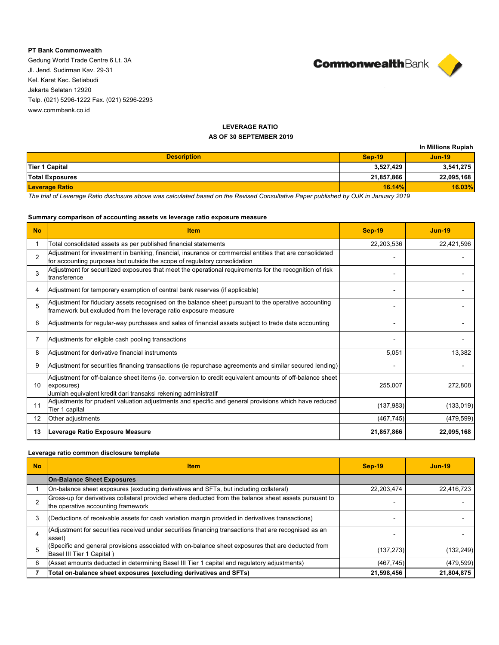### **PT Bank Commonwealth**

Gedung World Trade Centre 6 Lt. 3A Jl. Jend. Sudirman Kav. 29-31 Kel. Karet Kec. Setiabudi Jakarta Selatan 12920 Telp. (021) 5296-1222 Fax. (021) 5296-2293 www.commbank.co.id



# **LEVERAGE RATIO**

# **AS OF 30 SEPTEMBER 2019**

|                        |               | In Millions Rupiah |
|------------------------|---------------|--------------------|
| <b>Description</b>     | <b>Sep-19</b> | <b>Jun-19</b>      |
| Tier 1 Capital         | 3,527,429     | 3,541,275          |
| <b>Total Exposures</b> | 21,857,866    | 22,095,168         |
| <b>Leverage Ratio</b>  | 16.14%        | 16.03%             |

*The trial of Leverage Ratio disclosure above was calculated based on the Revised Consultative Paper published by OJK in January 2019*

### **Summary comparison of accounting assets vs leverage ratio exposure measure**

| <b>No</b>         | <b>Item</b>                                                                                                                                                                              | <b>Sep-19</b> | <b>Jun-19</b> |
|-------------------|------------------------------------------------------------------------------------------------------------------------------------------------------------------------------------------|---------------|---------------|
|                   | Total consolidated assets as per published financial statements                                                                                                                          | 22,203,536    | 22,421,596    |
| $\mathfrak{p}$    | Adjustment for investment in banking, financial, insurance or commercial entities that are consolidated<br>for accounting purposes but outside the scope of regulatory consolidation     |               |               |
| 3                 | Adjustment for securitized exposures that meet the operational requirements for the recognition of risk<br>transference                                                                  |               |               |
| 4                 | Adjustment for temporary exemption of central bank reserves (if applicable)                                                                                                              |               |               |
| 5                 | Adjustment for fiduciary assets recognised on the balance sheet pursuant to the operative accounting<br>framework but excluded from the leverage ratio exposure measure                  |               |               |
| 6                 | Adjustments for regular-way purchases and sales of financial assets subject to trade date accounting                                                                                     |               |               |
|                   | Adjustments for eligible cash pooling transactions                                                                                                                                       |               |               |
| 8                 | Adjustment for derivative financial instruments                                                                                                                                          | 5,051         | 13,382        |
| 9                 | Adjustment for securities financing transactions (ie repurchase agreements and similar secured lending)                                                                                  |               |               |
| 10 <sup>°</sup>   | Adjustment for off-balance sheet items (ie. conversion to credit equivalent amounts of off-balance sheet<br>exposures)<br>Jumlah equivalent kredit dari transaksi rekening administratif | 255,007       | 272,808       |
| 11                | Adjustments for prudent valuation adjustments and specific and general provisions which have reduced<br>Tier 1 capital                                                                   | (137, 983)    | (133, 019)    |
| $12 \overline{ }$ | Other adjustments                                                                                                                                                                        | (467, 745)    | (479, 599)    |
| 13                | Leverage Ratio Exposure Measure                                                                                                                                                          | 21,857,866    | 22,095,168    |

### **Leverage ratio common disclosure template**

| <b>No</b> | <b>Item</b>                                                                                                                                 | <b>Sep-19</b> | $Jun-19$   |
|-----------|---------------------------------------------------------------------------------------------------------------------------------------------|---------------|------------|
|           | <b>On-Balance Sheet Exposures</b>                                                                                                           |               |            |
|           | On-balance sheet exposures (excluding derivatives and SFTs, but including collateral)                                                       | 22,203,474    | 22.416.723 |
|           | Gross-up for derivatives collateral provided where deducted from the balance sheet assets pursuant to<br>the operative accounting framework |               |            |
|           | (Deductions of receivable assets for cash variation margin provided in derivatives transactions)                                            |               |            |
|           | (Adjustment for securities received under securities financing transactions that are recognised as an<br>asset)                             |               |            |
|           | (Specific and general provisions associated with on-balance sheet exposures that are deducted from<br>Basel III Tier 1 Capital)             | (137, 273)    | (132, 249) |
| 6         | (Asset amounts deducted in determining Basel III Tier 1 capital and regulatory adjustments)                                                 | (467, 745)    | (479, 599) |
|           | Total on-balance sheet exposures (excluding derivatives and SFTs)                                                                           | 21,598,456    | 21,804,875 |